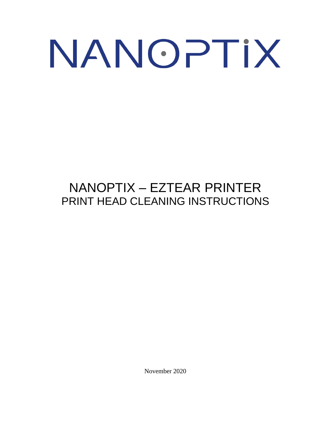## NANOPTIX

## NANOPTIX – EZTEAR PRINTER PRINT HEAD CLEANING INSTRUCTIONS

November 2020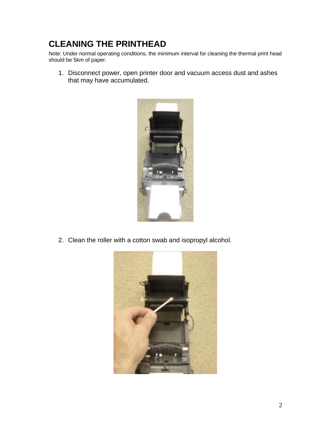## **CLEANING THE PRINTHEAD**

Note: Under normal operating conditions, the minimum interval for cleaning the thermal print head should be 5km of paper.

1. Disconnect power, open printer door and vacuum access dust and ashes that may have accumulated.



2. Clean the roller with a cotton swab and isopropyl alcohol.

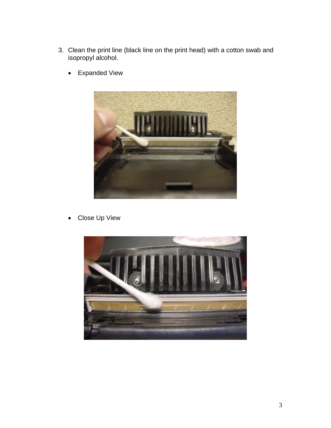- 3. Clean the print line (black line on the print head) with a cotton swab and isopropyl alcohol.
	- Expanded View



• Close Up View